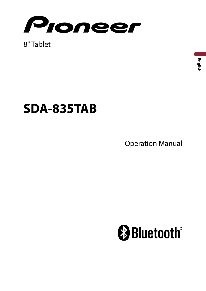

8" Tablet

## **SDA-835TAB**

**Operation Manual** 

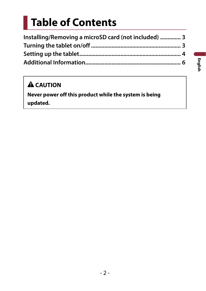# **Table of Contents**

| Installing/Removing a microSD card (not included)  3 |  |
|------------------------------------------------------|--|
|                                                      |  |
|                                                      |  |
|                                                      |  |

### **A** CAUTION

**Never power off this product while the system is being updated.**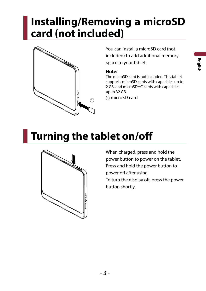## <span id="page-2-0"></span>**Installing/Removing a microSD card (not included)**



You can install a microSD card (not included) to add additional memory space to your tablet.

#### **Note:**

The microSD card is not included. This tablet supports microSD cards with capacities up to 2 GB, and microSDHC cards with capacities up to 32 GB.

microSD card

# **Turning the tablet on/off**



When charged, press and hold the power button to power on the tablet. Press and hold the power button to power off after using. To turn the display off, press the power button shortly.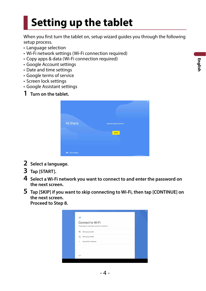# <span id="page-3-0"></span>**Setting up the tablet**

When you first turn the tablet on, setup wizard guides you through the following setup process.

- • Language selection
- • Wi-Fi network settings (Wi-Fi connection required)
- • Copy apps & data (Wi-Fi connection required)
- • Google Account settings
- Date and time settings
- • Google terms of service
- • Screen lock settings
- • Google Assistant settings
- **1 Turn on the tablet.**

| Hi there          | ENGLISH (UNITED STATES) = |
|-------------------|---------------------------|
|                   | START                     |
|                   |                           |
|                   |                           |
|                   |                           |
| O Vision Settings |                           |

- **2 Select a language.**
- **3 Tap [START].**
- **4 Select a Wi-Fi network you want to connect to and enter the password on the next screen.**
- **5 Tap [SKIP] if you want to skip connecting to Wi-Fi, then tap [CONTINUE] on the next screen. Proceed to Step 8.**

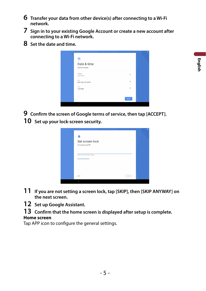- **6 Transfer your data from other device(s) after connecting to a Wi-Fi network.**
- **7 Sign in to your existing Google Account or create a new account after connecting to a Wi-Fi network.**
- **8 Set the date and time.**

| 菌                   |                   |      |  |
|---------------------|-------------------|------|--|
| Adjust if needed.   | Date & time       |      |  |
| Tokyo.<br>GMT+09.00 |                   | ×.   |  |
| Date:               | Sun, Dec 22, 2019 | ×    |  |
| Time<br>7.00 PM     |                   | v    |  |
|                     |                   | NEXT |  |

**9 Confirm the screen of Google terms of service, then tap [ACCEPT].** 

**10 Set up your lock-screen security.** 

| А                                        |             |
|------------------------------------------|-------------|
| Set screen lock<br>For security, set PIN |             |
| PIN must be at least 4 digits            |             |
| Screen lock options                      |             |
|                                          |             |
| 5932                                     | <b>NEXT</b> |

- **11 If you are not setting a screen lock, tap [SKIP], then [SKIP ANYWAY] on the next screen.**
- **12 Set up Google Assistant.**
- **13 Confirm that the home screen is displayed after setup is complete.**

#### **Home screen**

Tap APP icon to configure the general settings.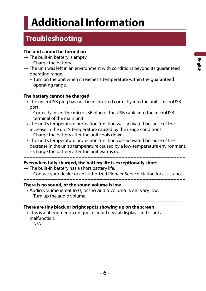## <span id="page-5-0"></span>**Additional Information**

### **Troubleshooting**

#### **The unit cannot be turned on**

- $\rightarrow$  The built-in battery is empty.
	- − Charge the battery.
- $\rightarrow$  The unit was left in an environment with conditions beyond its guaranteed operating range.
	- − Turn on the unit when it reaches a temperature within the guaranteed operating range.

#### ------------------------------------------------------------------------------------------------------------- **The battery cannot be charged**

- $\rightarrow$  The microUSB plug has not been inserted correctly into the unit's microUSB port.
	- − Correctly insert the microUSB plug of the USB cable into the microUSB terminal of the main unit.
- $\rightarrow$  The unit's temperature protection function was activated because of the increase in the unit's temperature caused by the usage conditions. − Charge the battery after the unit cools down.
- $\rightarrow$  The unit's temperature protection function was activated because of the decrease in the unit's temperature caused by a low‐temperature environment. − Charge the battery after the unit warms up.

#### ------------------------------------------------------------------------------------------------------------- **Even when fully charged, the battery life is exceptionally short**

- $\rightarrow$  The built-in battery has a short battery life.
	- − Contact your dealer or an authorized Pioneer Service Station for assistance.

#### ------------------------------------------------------------------------------------------------------------- **There is no sound, or the sound volume is low**

 $\rightarrow$  Audio volume is set to 0, or the audio volume is set very low. − Turn up the audio volume.

-------------------------------------------------------------------------------------------------------------

#### **There are tiny black or bright spots showing up on the screen**

 $\rightarrow$  This is a phenomenon unique to liquid crystal displays and is not a malfunction.

 $- N/A$ .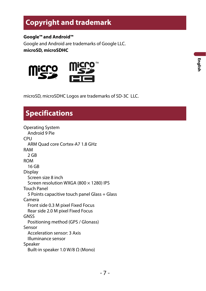### **Copyright and trademark**

**Google™ and Android™**

Google and Android are trademarks of Google LLC.

**microSD, microSDHC** 



microSD, microSDHC Logos are trademarks of SD-3C LLC.

## **Specifications**

Operating System Android 9 Pie CPU ARM Quad core Cortex-A7 1.8 GHz RAM 2 GB ROM 16 GB Display Screen size 8 inch Screen resolution WXGA (800 × 1280) IPS Touch Panel 5 Points capacitive touch panel Glass + Glass Camera Front side 0.3 M pixel Fixed Focus Rear side 2.0 M pixel Fixed Focus GNSS Positioning method (GPS / Glonass) Sensor Acceleration sensor: 3 Axis Illuminance sensor Speaker Built-in speaker 1.0 W/8 Ω (Mono)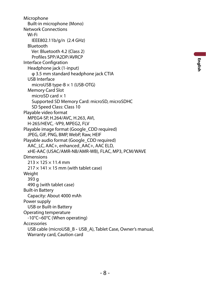Microphone Built-in microphone (Mono) Network Connections Wi-Fi IEEE802.11b/g/n (2.4 GHz) Bluetooth Ver: Bluetooth 4.2 (Class 2) Profiles SPP/A2DP/AVRCP Interface Configration Headphone jack (1-input) φ 3.5 mm standard headphone jack CTIA USB Interface microUSB type-B × 1 (USB-OTG) Memory Card Slot microSD card  $\times$  1 Supported SD Memory Card: microSD, microSDHC SD Speed Class: Class 10 Playable video format MPEG4-SP, H.264/AVC, H.263, AVI, H-265/HEVC, -VP9, MPEG2, FLV Playable image format (Google CDD required) JPEG, GIF, PNG, BMP, WebP, Raw, HEIF Playable audio format (Google\_CDD required) AAC\_LC, AAC+, enhanced\_AAC+, AAC ELD, xHE-AAC (USAC/AMR-NB/AMR-WB), FLAC, MP3, PCM/WAVE Dimensions  $213 \times 125 \times 11.4$  mm  $217 \times 141 \times 15$  mm (with tablet case) Weight 393 g 490 g (with tablet case) Built-in Battery Capacity: About 4000 mAh Power supply USB or Built-in Battery Operating temperature ‐10°C~60°C (When operating) Accessories USB cable (microUSB\_B - USB\_A), Tablet Case, Owner's manual, Warranty card, Caution card